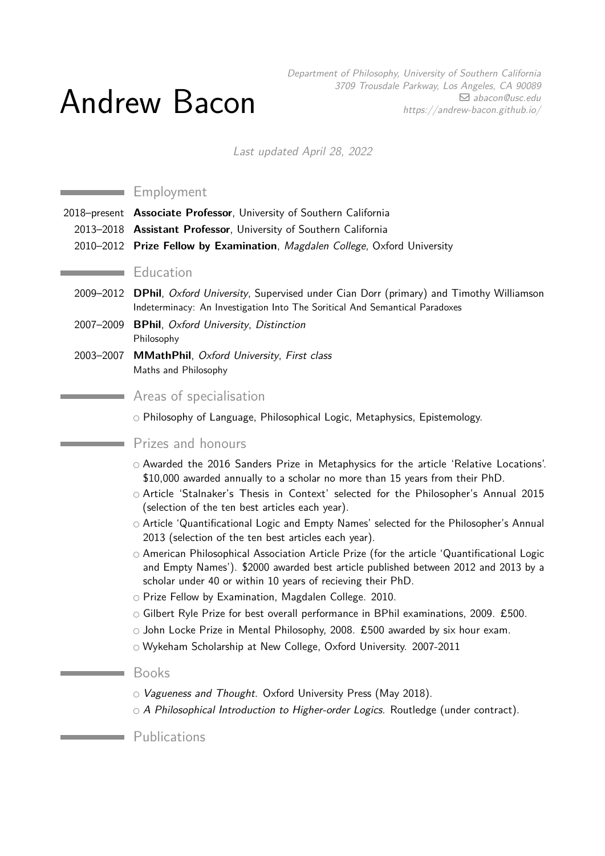# Andrew Bacon

Department of Philosophy, University of Southern California 3709 Trousdale Parkway, Los Angeles, CA 90089  $□$  [abacon@usc.edu](mailto:abacon@usc.edu) https://andrew-bacon.github.io/

Last updated April 28, 2022

## Employment

- 2018–present **Associate Professor**, University of Southern California
- 2013–2018 **Assistant Professor**, University of Southern California
- 2010–2012 **Prize Fellow by Examination**, Magdalen College, Oxford University

### **Education**

- 2009–2012 **DPhil**, Oxford University, Supervised under Cian Dorr (primary) and Timothy Williamson Indeterminacy: An Investigation Into The Soritical And Semantical Paradoxes
- 2007–2009 **BPhil**, Oxford University, Distinction Philosophy
- 2003–2007 **MMathPhil**, Oxford University, First class Maths and Philosophy

# Areas of specialisation

○ Philosophy of Language, Philosophical Logic, Metaphysics, Epistemology.

#### Prizes and honours

- Awarded the 2016 Sanders Prize in Metaphysics for the article 'Relative Locations'. \$10,000 awarded annually to a scholar no more than 15 years from their PhD.
- Article 'Stalnaker's Thesis in Context' selected for the Philosopher's Annual 2015 (selection of the ten best articles each year).
- Article 'Quantificational Logic and Empty Names' selected for the Philosopher's Annual 2013 (selection of the ten best articles each year).
- American Philosophical Association Article Prize (for the article 'Quantificational Logic and Empty Names'). \$2000 awarded best article published between 2012 and 2013 by a scholar under 40 or within 10 years of recieving their PhD.
- Prize Fellow by Examination, Magdalen College. 2010.
- Gilbert Ryle Prize for best overall performance in BPhil examinations, 2009. £500.
- $\circ$  John Locke Prize in Mental Philosophy, 2008. £500 awarded by six hour exam.
- Wykeham Scholarship at New College, Oxford University. 2007-2011

## Books

and the control of the control of the

- O Vagueness and Thought. Oxford University Press (May 2018).
- $\circ$  A Philosophical Introduction to Higher-order Logics. Routledge (under contract).

Publications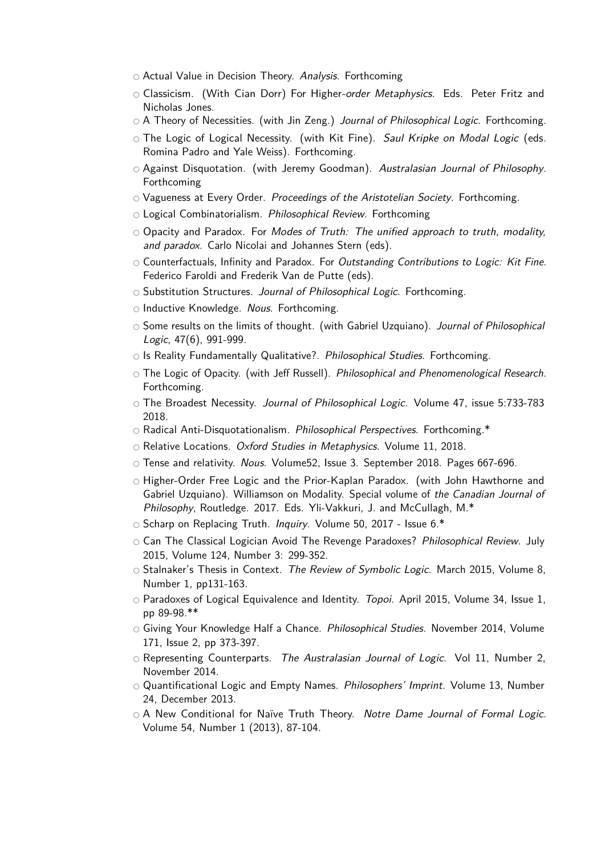- Actual Value in Decision Theory. Analysis. Forthcoming
- O Classicism. (With Cian Dorr) For Higher-order Metaphysics. Eds. Peter Fritz and Nicholas Jones.
- $\circ$  A Theory of Necessities. (with Jin Zeng.) Journal of Philosophical Logic. Forthcoming.
- O The Logic of Logical Necessity. (with Kit Fine). Saul Kripke on Modal Logic (eds. Romina Padro and Yale Weiss). Forthcoming.
- Against Disquotation. (with Jeremy Goodman). Australasian Journal of Philosophy. Forthcoming
- O Vagueness at Every Order. Proceedings of the Aristotelian Society. Forthcoming.
- O Logical Combinatorialism. Philosophical Review. Forthcoming
- O Opacity and Paradox. For Modes of Truth: The unified approach to truth, modality, and paradox. Carlo Nicolai and Johannes Stern (eds).
- $\circ$  Counterfactuals, Infinity and Paradox. For Outstanding Contributions to Logic: Kit Fine. Federico Faroldi and Frederik Van de Putte (eds).
- Substitution Structures. Journal of Philosophical Logic. Forthcoming.
- Inductive Knowledge. Nous. Forthcoming.
- Some results on the limits of thought. (with Gabriel Uzquiano). Journal of Philosophical Logic, 47(6), 991-999.
- $\circ$  Is Reality Fundamentally Qualitative?. *Philosophical Studies*. Forthcoming.
- The Logic of Opacity. (with Jeff Russell). Philosophical and Phenomenological Research. Forthcoming.
- The Broadest Necessity. Journal of Philosophical Logic. Volume 47, issue 5:733-783 2018.
- $\circ$  Radical Anti-Disquotationalism. Philosophical Perspectives. Forthcoming.\*
- $\circ$  Relative Locations. *Oxford Studies in Metaphysics*. Volume 11, 2018.
- $\circ$  Tense and relativity. Nous. Volume52, Issue 3. September 2018. Pages 667-696.
- Higher-Order Free Logic and the Prior-Kaplan Paradox. (with John Hawthorne and Gabriel Uzquiano). Williamson on Modality. Special volume of the Canadian Journal of Philosophy, Routledge. 2017. Eds. Yli-Vakkuri, J. and McCullagh, M.\*
- Scharp on Replacing Truth. Inquiry. Volume 50, 2017 Issue 6.\*
- Can The Classical Logician Avoid The Revenge Paradoxes? Philosophical Review. July 2015, Volume 124, Number 3: 299-352.
- $\circ$  Stalnaker's Thesis in Context. The Review of Symbolic Logic. March 2015, Volume 8, Number 1, pp131-163.
- $\circ$  Paradoxes of Logical Equivalence and Identity. Topoi. April 2015, Volume 34, Issue 1, pp 89-98.\*\*
- Giving Your Knowledge Half a Chance. Philosophical Studies. November 2014, Volume 171, Issue 2, pp 373-397.
- Representing Counterparts. The Australasian Journal of Logic. Vol 11, Number 2, November 2014.
- Quantificational Logic and Empty Names. Philosophers' Imprint. Volume 13, Number 24, December 2013.
- O A New Conditional for Naïve Truth Theory. Notre Dame Journal of Formal Logic. Volume 54, Number 1 (2013), 87-104.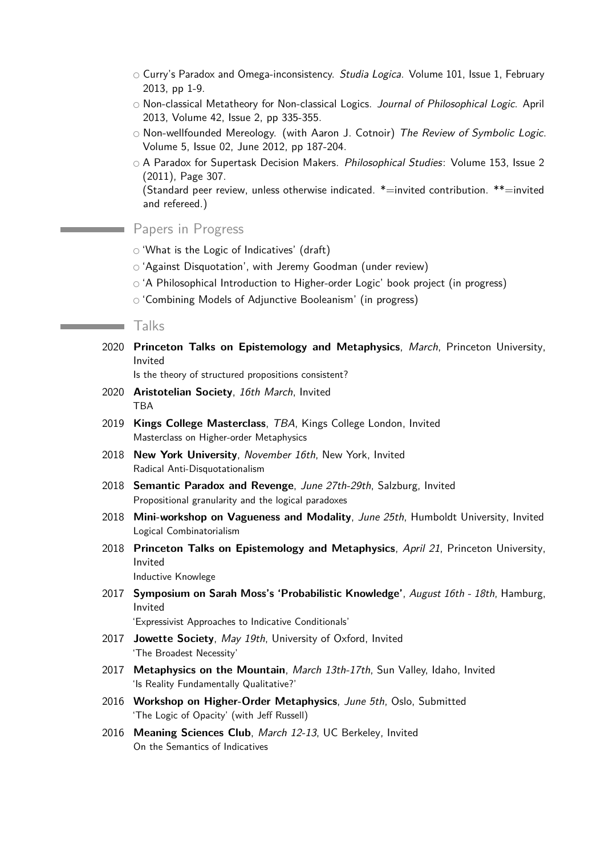- $\circ$  Curry's Paradox and Omega-inconsistency. Studia Logica. Volume 101, Issue 1, February 2013, pp 1-9.
- Non-classical Metatheory for Non-classical Logics. Journal of Philosophical Logic. April 2013, Volume 42, Issue 2, pp 335-355.
- Non-wellfounded Mereology. (with Aaron J. Cotnoir) The Review of Symbolic Logic. Volume 5, Issue 02, June 2012, pp 187-204.
- A Paradox for Supertask Decision Makers. Philosophical Studies: Volume 153, Issue 2 (2011), Page 307.

(Standard peer review, unless otherwise indicated. \*=invited contribution. \*\*=invited and refereed.)

# Papers in Progress

- 'What is the Logic of Indicatives' (draft)
- $\circ$  'Against Disquotation', with Jeremy Goodman (under review)
- $\circ$  'A Philosophical Introduction to Higher-order Logic' book project (in progress)
- 'Combining Models of Adjunctive Booleanism' (in progress)

#### Talks

<u> 1989 - Johann Barnett, mars et al. 19</u>

2020 **Princeton Talks on Epistemology and Metaphysics**, March, Princeton University, Invited

Is the theory of structured propositions consistent?

- 2020 **Aristotelian Society**, 16th March, Invited TBA
- 2019 **Kings College Masterclass**, TBA, Kings College London, Invited Masterclass on Higher-order Metaphysics
- 2018 **New York University**, November 16th, New York, Invited Radical Anti-Disquotationalism
- 2018 **Semantic Paradox and Revenge**, June 27th-29th, Salzburg, Invited Propositional granularity and the logical paradoxes
- 2018 **Mini-workshop on Vagueness and Modality**, June 25th, Humboldt University, Invited Logical Combinatorialism
- 2018 **Princeton Talks on Epistemology and Metaphysics**, April 21, Princeton University, Invited

Inductive Knowlege

2017 **Symposium on Sarah Moss's 'Probabilistic Knowledge'**, August 16th - 18th, Hamburg, Invited

'Expressivist Approaches to Indicative Conditionals'

- 2017 **Jowette Society**, May 19th, University of Oxford, Invited 'The Broadest Necessity'
- 2017 **Metaphysics on the Mountain**, March 13th-17th, Sun Valley, Idaho, Invited 'Is Reality Fundamentally Qualitative?'
- 2016 **Workshop on Higher-Order Metaphysics**, June 5th, Oslo, Submitted 'The Logic of Opacity' (with Jeff Russell)
- 2016 **Meaning Sciences Club**, March 12-13, UC Berkeley, Invited On the Semantics of Indicatives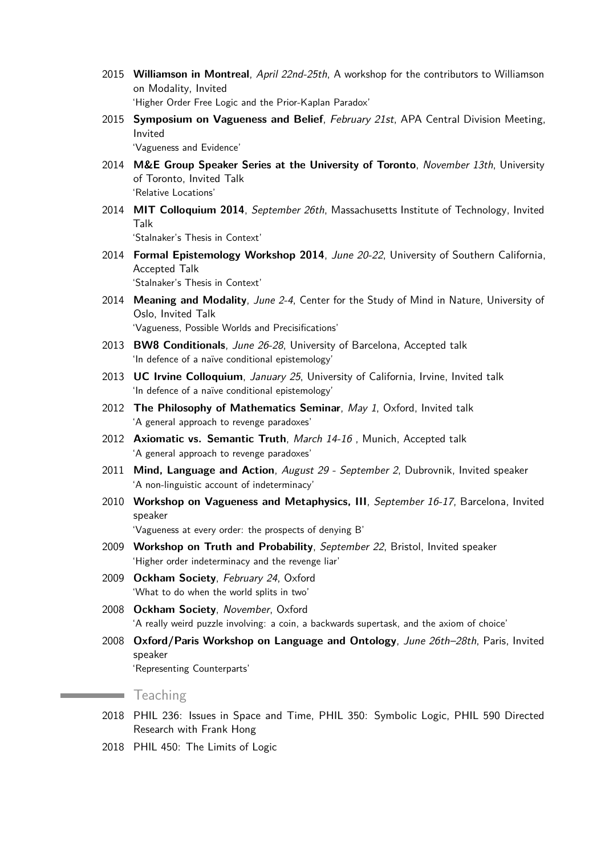- 2015 **Williamson in Montreal**, April 22nd-25th, A workshop for the contributors to Williamson on Modality, Invited 'Higher Order Free Logic and the Prior-Kaplan Paradox'
- 2015 **Symposium on Vagueness and Belief**, February 21st, APA Central Division Meeting, Invited

'Vagueness and Evidence'

- 2014 **M&E Group Speaker Series at the University of Toronto**, November 13th, University of Toronto, Invited Talk 'Relative Locations'
- 2014 **MIT Colloquium 2014**, September 26th, Massachusetts Institute of Technology, Invited Talk

'Stalnaker's Thesis in Context'

2014 **Formal Epistemology Workshop 2014**, June 20-22, University of Southern California, Accepted Talk

'Stalnaker's Thesis in Context'

2014 **Meaning and Modality**, June 2-4, Center for the Study of Mind in Nature, University of Oslo, Invited Talk

'Vagueness, Possible Worlds and Precisifications'

- 2013 **BW8 Conditionals**, June 26-28, University of Barcelona, Accepted talk 'In defence of a naïve conditional epistemology'
- 2013 **UC Irvine Colloquium**, January 25, University of California, Irvine, Invited talk 'In defence of a naïve conditional epistemology'
- 2012 **The Philosophy of Mathematics Seminar**, May 1, Oxford, Invited talk 'A general approach to revenge paradoxes'
- 2012 **Axiomatic vs. Semantic Truth**, March 14-16 , Munich, Accepted talk 'A general approach to revenge paradoxes'
- 2011 **Mind, Language and Action**, August 29 September 2, Dubrovnik, Invited speaker 'A non-linguistic account of indeterminacy'
- 2010 **Workshop on Vagueness and Metaphysics, III**, September 16-17, Barcelona, Invited speaker

'Vagueness at every order: the prospects of denying B'

- 2009 **Workshop on Truth and Probability**, September 22, Bristol, Invited speaker 'Higher order indeterminacy and the revenge liar'
- 2009 **Ockham Society**, February 24, Oxford 'What to do when the world splits in two'
- 2008 **Ockham Society**, November, Oxford 'A really weird puzzle involving: a coin, a backwards supertask, and the axiom of choice'
- 2008 **Oxford/Paris Workshop on Language and Ontology**, June 26th–28th, Paris, Invited speaker

'Representing Counterparts'

## **Teaching**

- 2018 PHIL 236: Issues in Space and Time, PHIL 350: Symbolic Logic, PHIL 590 Directed Research with Frank Hong
- 2018 PHIL 450: The Limits of Logic